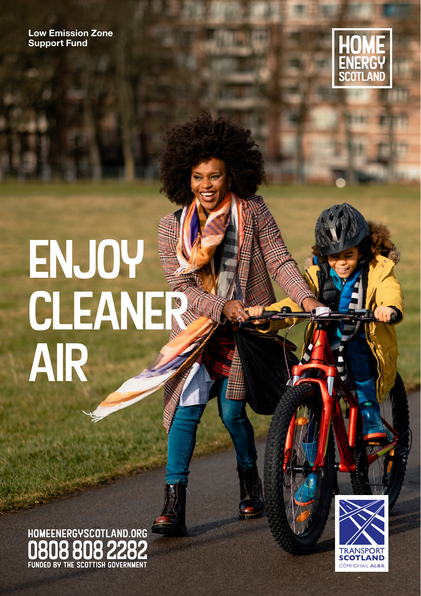**Low Emission Zone Support Fund** 



# ENJOY<br>CLEANER<br>AIR

HOMEENERGYSCOTLAND.ORG FUNDED BY THE SCOTTISH GOVERNMENT

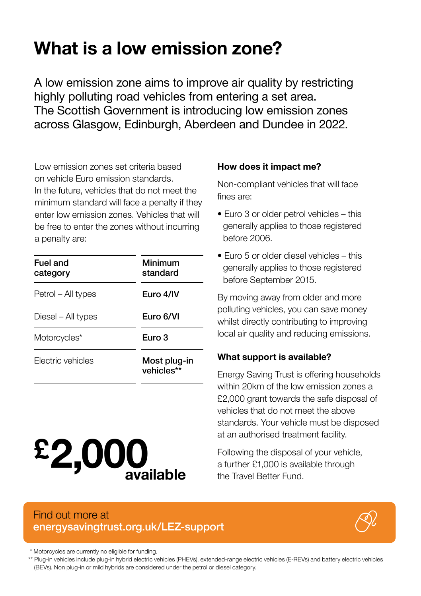### **What is a low emission zone?**

A low emission zone aims to improve air quality by restricting highly polluting road vehicles from entering a set area. The Scottish Government is introducing low emission zones across Glasgow, Edinburgh, Aberdeen and Dundee in 2022.

Low emission zones set criteria based on vehicle Euro emission standards. In the future, vehicles that do not meet the minimum standard will face a penalty if they enter low emission zones. Vehicles that will be free to enter the zones without incurring a penalty are:

| Fuel and<br>category | Minimum<br>standard        |
|----------------------|----------------------------|
| Petrol – All types   | Euro 4/IV                  |
| Diesel – All types   | Euro 6/VI                  |
| Motorcycles*         | Euro 3                     |
| Flectric vehicles    | Most plug-in<br>vehicles** |

# **2,000available £**

#### **How does it impact me?**

Non-compliant vehicles that will face fines are:

- Euro 3 or older petrol vehicles this generally applies to those registered before 2006.
- Euro 5 or older diesel vehicles this generally applies to those registered before September 2015.

By moving away from older and more polluting vehicles, you can save money whilst directly contributing to improving local air quality and reducing emissions.

#### **What support is available?**

Energy Saving Trust is offering households within 20km of the low emission zones a £2,000 grant towards the safe disposal of vehicles that do not meet the above standards. Your vehicle must be disposed at an authorised treatment facility.

Following the disposal of your vehicle, a further £1,000 is available through the Travel Better Fund.

#### Find out more at [energysavingtrust.org.uk/LEZ-support](https://energysavingtrust.org.uk/grants-and-loans/low-emission-zone-support-fund-for-households/?ref=LEZ)



\* Motorcycles are currently no eligible for funding.

\*\* Plug-in vehicles include plug-in hybrid electric vehicles (PHEVs), extended-range electric vehicles (E-REVs) and battery electric vehicles (BEVs). Non plug-in or mild hybrids are considered under the petrol or diesel category.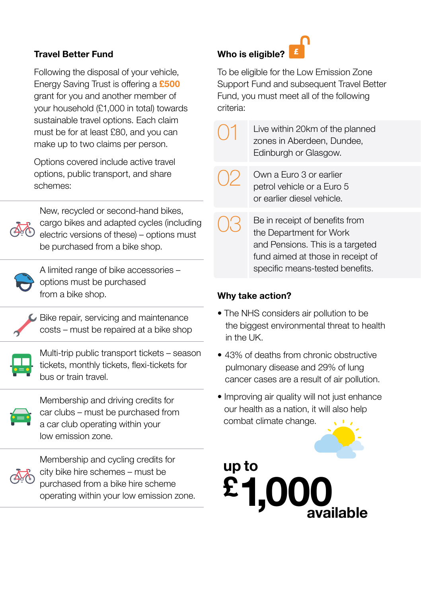#### **Travel Better Fund**

Following the disposal of your vehicle, Energy Saving Trust is offering a **£500** grant for you and another member of your household (£1,000 in total) towards sustainable travel options. Each claim must be for at least £80, and you can make up to two claims per person.

Options covered include active travel options, public transport, and share schemes:



New, recycled or second-hand bikes, cargo bikes and adapted cycles (including electric versions of these) – options must be purchased from a bike shop.



A limited range of bike accessories – options must be purchased from a bike shop.



Bike repair, servicing and maintenance costs – must be repaired at a bike shop



Multi-trip public transport tickets – season tickets, monthly tickets, flexi-tickets for bus or train travel.



Membership and driving credits for car clubs – must be purchased from a car club operating within your low emission zone.



Membership and cycling credits for city bike hire schemes – must be purchased from a bike hire scheme operating within your low emission zone.

#### **Who is eligible?**

To be eligible for the Low Emission Zone Support Fund and subsequent Travel Better Fund, you must meet all of the following criteria:

> Live within 20km of the planned zones in Aberdeen, Dundee, Edinburgh or Glasgow.

02

01

- Own a Euro 3 or earlier petrol vehicle or a Euro 5 or earlier diesel vehicle.
- 03 Be in receipt of benefits from the Department for Work and Pensions. This is a targeted fund aimed at those in receipt of specific means-tested benefits.

#### **Why take action?**

- The NHS considers air pollution to be the biggest environmental threat to health in the UK.
- 43% of deaths from chronic obstructive pulmonary disease and 29% of lung cancer cases are a result of air pollution.
- Improving air quality will not just enhance our health as a nation, it will also help combat climate change.